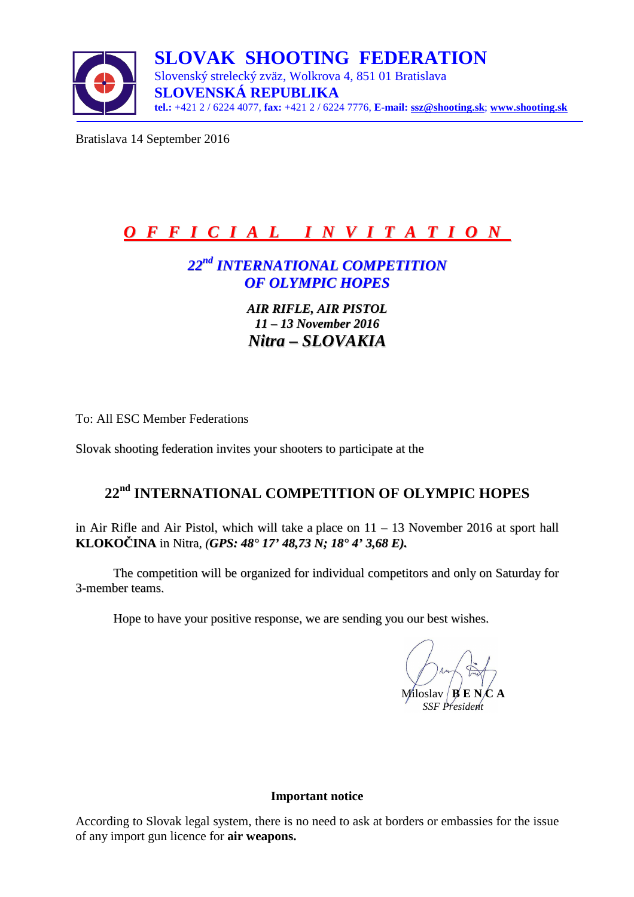

Bratislava 14 September 2016

# *O F F I C I A L I N V I T A T I O N*

## *22 nd INTERNATIONAL COMPETITION OF OLYMPIC HOPES*

*AIR RIFLE, AIR PISTOL 11 – 13 November 2016 Nitra – SLOVAKIA*

To: All ESC Member Federations

Slovak shooting federation invites your shooters to participate at the

## **22nd INTERNATIONAL COMPETITION OF OLYMPIC HOPES**

in Air Rifle and Air Pistol, which will take a place on 11 – 13 November 2016 at sport hall **KLOKOČINA** in Nitra*, (GPS: 48° 17' 48,73 N; 18° 4' 3,68 E).*

The competition will be organized for individual competitors and only on Saturday for 3-member teams.

Hope to have your positive response, we are sending you our best wishes.

Miloslav **B** E N *SSF President* 

#### **Important notice**

According to Slovak legal system, there is no need to ask at borders or embassies for the issue of any import gun licence for **air weapons.**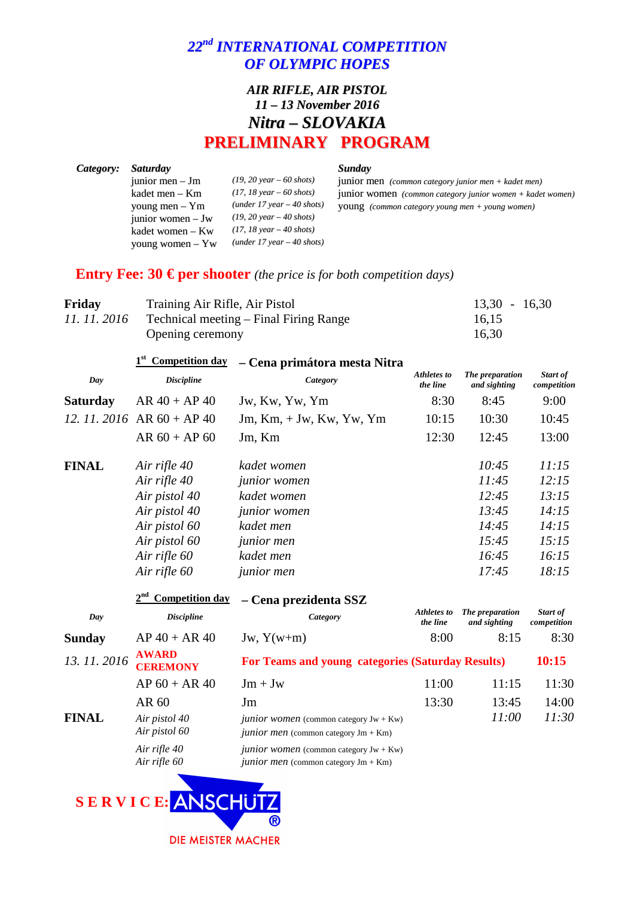## *22 nd INTERNATIONAL COMPETITION OF OLYMPIC HOPES*

## *AIR RIFLE, AIR PISTOL 11 – 13 November 2016 Nitra – SLOVAKIA* **PRELIMINARY PROGRAM**

| Category: | <i>Saturday</i>    |                                            | Sunday                                                       |
|-----------|--------------------|--------------------------------------------|--------------------------------------------------------------|
|           | junior men $-$ Jm  | $(19, 20 \text{ year} - 60 \text{ shots})$ | junior men $(common category)$ junior men + kadet men)       |
|           | kadet men – Km     | $(17, 18 \text{ year} - 60 \text{ shots})$ | junior women $(common category)$ junior women + kadet women) |
|           | young men $-$ Ym   | $(under 17 year - 40 shots)$               | <b>YOUNG</b> (common category young men + young women)       |
|           | junior women $-Jw$ | $(19, 20 \text{ year} - 40 \text{ shots})$ |                                                              |
|           | kadet women – Kw   | $(17, 18 \text{ year} - 40 \text{ shots})$ |                                                              |
|           | young women $-$ Yw | $(under 17 year - 40 shots)$               |                                                              |

## **Entry Fee: 30**  $\in$  **per shooter**(*the price is for both competition days*)

| Friday | Training Air Rifle, Air Pistol                      | $13,30 - 16,30$ |
|--------|-----------------------------------------------------|-----------------|
|        | 11. 11. 2016 Technical meeting – Final Firing Range | 16,15           |
|        | Opening ceremony                                    | 16,30           |

|                 | <b>Competition day</b>          | - Cena primátora mesta Nitra                      |                         |                                 |                         |
|-----------------|---------------------------------|---------------------------------------------------|-------------------------|---------------------------------|-------------------------|
| Day             | <b>Discipline</b>               | Category                                          | Athletes to<br>the line | The preparation<br>and sighting | Start of<br>competition |
| <b>Saturday</b> | $AR 40 + AP 40$                 | Jw, Kw, Yw, Ym                                    | 8:30                    | 8:45                            | 9:00                    |
|                 | 12. 11. 2016 AR $60 + AP 40$    | $Jm$ , Km, $+Jw$ , Kw, Yw, Ym                     | 10:15                   | 10:30                           | 10:45                   |
|                 | $AR 60 + AP 60$                 | Jm, Km                                            | 12:30                   | 12:45                           | 13:00                   |
| <b>FINAL</b>    | Air rifle 40                    | kadet women                                       |                         | 10:45                           | 11:15                   |
|                 | Air rifle 40                    | <i>junior</i> women                               |                         | 11:45                           | 12:15                   |
|                 | Air pistol 40                   | kadet women                                       |                         | 12:45                           | 13:15                   |
|                 | Air pistol 40                   | <i>junior</i> women                               |                         | 13:45                           | 14:15                   |
|                 | Air pistol 60                   | kadet men                                         |                         | 14:45                           | 14:15                   |
|                 | Air pistol 60                   | <i>junior</i> men                                 |                         | 15:45                           | 15:15                   |
|                 | Air rifle 60                    | kadet men                                         |                         | 16:45                           | 16:15                   |
|                 | Air rifle 60                    | <i>junior</i> men                                 |                         | 17:45                           | 18:15                   |
|                 | <b>Competition day</b>          | – Cena prezidenta SSZ                             |                         |                                 |                         |
| Day             | <b>Discipline</b>               | Category                                          | Athletes to<br>the line | The preparation<br>and sighting | Start of<br>competition |
| <b>Sunday</b>   | $AP 40 + AR 40$                 | $Jw, Y(w+m)$                                      | 8:00                    | 8:15                            | 8:30                    |
| 13.11.2016      | <b>AWARD</b><br><b>CEREMONY</b> | For Teams and young categories (Saturday Results) |                         |                                 | 10:15                   |
|                 | $AP 60 + AR 40$                 | $Jm + Jw$                                         | 11:00                   | 11:15                           | 11:30                   |

|              | AN VV         |
|--------------|---------------|
| <b>FINAL</b> | Air pistol 40 |
|              | Air pistol 60 |
|              | Air rifle 40  |

|              | 13. 11. 2016 <b>AWARD</b><br><b>CEREMONY</b> | For Teams and young categories (Saturday Results)                                                  |       |       |       |
|--------------|----------------------------------------------|----------------------------------------------------------------------------------------------------|-------|-------|-------|
|              | $AP 60 + AR 40$                              | $Jm + Jw$                                                                                          | 11:00 | 11:15 | 11:30 |
|              | AR 60                                        | Jm                                                                                                 | 13:30 | 13:45 | 14:00 |
| <b>FINAL</b> | Air pistol 40<br>Air pistol 60               | <i>junior women</i> (common category $Jw + Kw$ )<br><i>junior men</i> (common category $Jm + Km$ ) |       | 11:00 | 11:30 |
|              | Air rifle 40<br>Air rifle 60                 | <i>junior women</i> (common category $Jw + Kw$ )<br><i>junior men</i> (common category $Jm + Km$ ) |       |       |       |

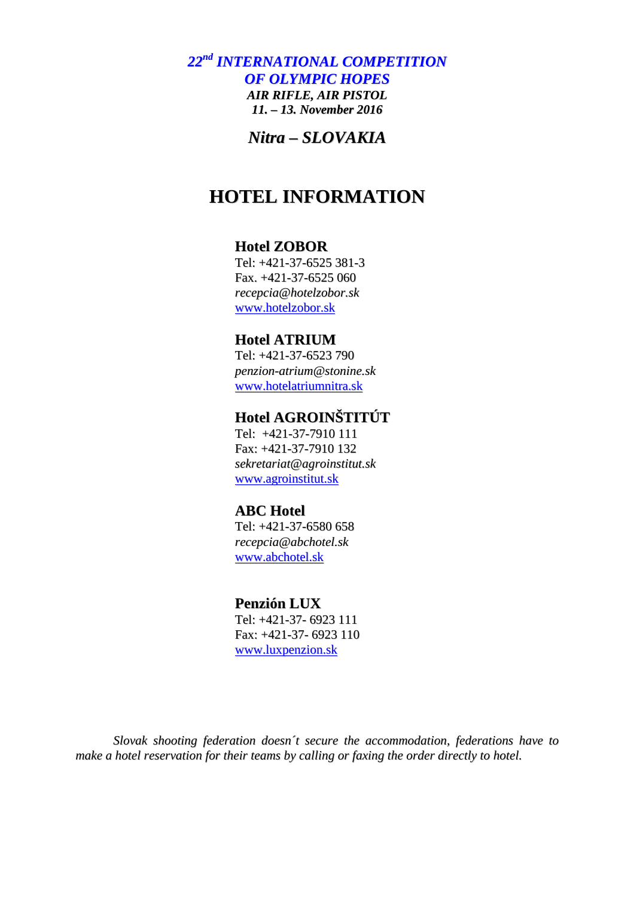*22 nd INTERNATIONAL COMPETITION OF OLYMPIC HOPES AIR RIFLE, AIR PISTOL 11. – 13. November 2016*

*Nitra – SLOVAKIA*

## **HOTEL INFORMATION**

#### **Hotel ZOBOR**

Tel: +421-37-6525 381-3 Fax. +421-37-6525 060 *recepcia@hotelzobor.sk* www.hotelzobor.sk

#### **Hotel ATRIUM**

Tel: +421-37-6523 790 *penzion-atrium@stonine.sk* www.hotelatriumnitra.sk

## **Hotel AGROINŠTITÚT**

Tel: +421-37-7910 111 Fax: +421-37-7910 132 *sekretariat@agroinstitut.sk* www.agroinstitut.sk

## **ABC Hotel**

Tel: +421-37-6580 658 *recepcia@abchotel.sk* www.abchotel.sk

#### **Penzión LUX**

Tel: +421-37- 6923 111 Fax: +421-37- 6923 110 www.luxpenzion.sk

*Slovak shooting federation doesn´t secure the accommodation, federations have to make a hotel reservation for their teams by calling or faxing the order directly to hotel.*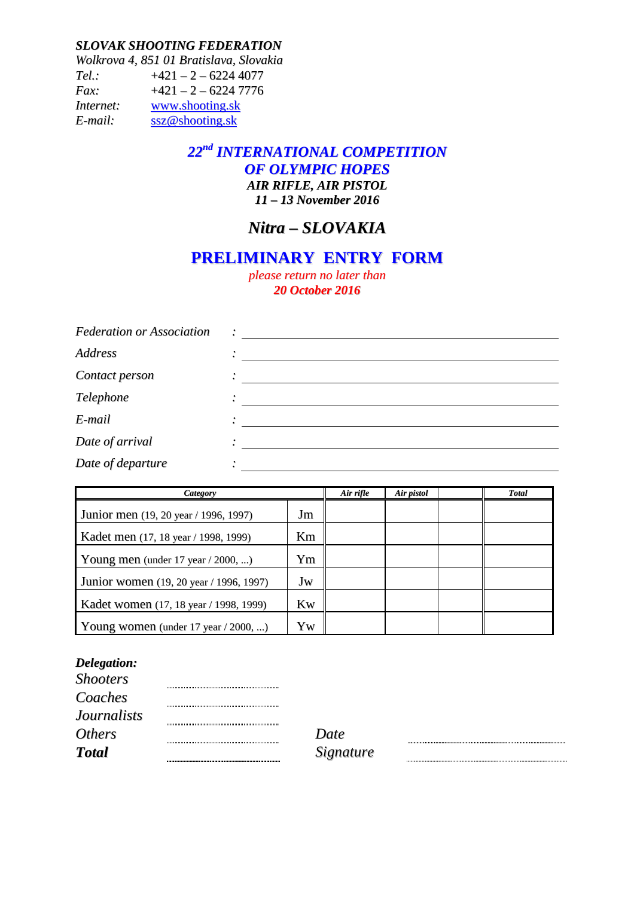#### *SLOVAK SHOOTING FEDERATION*

*Wolkrova 4, 851 01 Bratislava, Slovakia Tel.:* +421 – 2 – 6224 4077 *Fax:* +421 – 2 – 6224 7776 *Internet:* www.shooting.sk *E-mail:* ssz@shooting.sk

### *22 nd INTERNATIONAL COMPETITION OF OLYMPIC HOPES AIR RIFLE, AIR PISTOL 11 – 13 November 2016*

## *Nitra – SLOVAKIA*

## **PRELIMINARY ENTRY FORM**

*please return no later than 20 October 2016*

| <b>Federation or Association</b> |  |
|----------------------------------|--|
| Address                          |  |
| Contact person                   |  |
| Telephone                        |  |
| E-mail                           |  |
| Date of arrival                  |  |
| Date of departure                |  |

| Category                                 | Air rifle | Air pistol | <b>Total</b> |  |
|------------------------------------------|-----------|------------|--------------|--|
| Junior men (19, 20 year / 1996, 1997)    | Jm        |            |              |  |
| Kadet men (17, 18 year / 1998, 1999)     | Km        |            |              |  |
| Young men (under $17$ year / 2000, )     | Ym        |            |              |  |
| Junior women (19, 20 year / 1996, 1997)  | Jw        |            |              |  |
| Kadet women (17, 18 year / 1998, 1999)   | Kw        |            |              |  |
| Young women (under $17$ year $/$ 2000, ) | Yw        |            |              |  |

#### *Delegation:*

| Date  |
|-------|
| Signe |
|       |

*Total Signature*